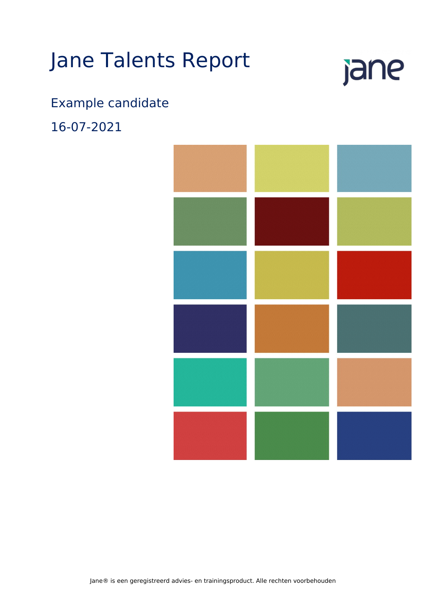# Jane Talents Report

# jane

# Example candidate

16-07-2021

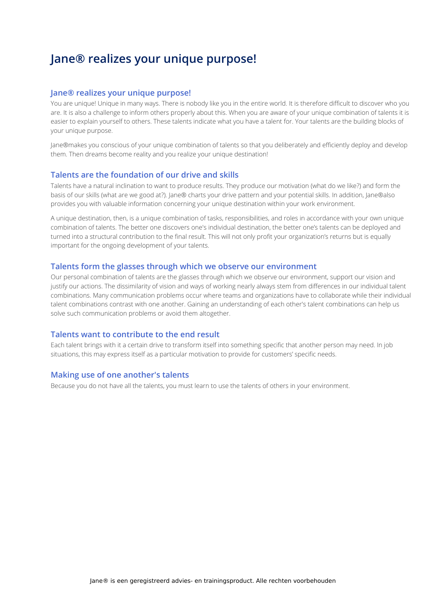## **Jane® realizes your unique purpose!**

#### **Jane® realizes your unique purpose!**

You are unique! Unique in many ways. There is nobody like you in the entire world. It is therefore difficult to discover who you are. It is also a challenge to inform others properly about this. When you are aware of your unique combination of talents it is easier to explain yourself to others. These talents indicate what you have a talent for. Your talents are the building blocks of your unique purpose.

Jane®makes you conscious of your unique combination of talents so that you deliberately and efficiently deploy and develop them. Then dreams become reality and you realize your unique destination!

#### **Talents are the foundation of our drive and skills**

Talents have a natural inclination to want to produce results. They produce our motivation (what do we like?) and form the basis of our skills (what are we good at?). Jane® charts your drive pattern and your potential skills. In addition, Jane®also provides you with valuable information concerning your unique destination within your work environment.

A unique destination, then, is a unique combination of tasks, responsibilities, and roles in accordance with your own unique combination of talents. The better one discovers one's individual destination, the better one's talents can be deployed and turned into a structural contribution to the final result. This will not only profit your organization's returns but is equally important for the ongoing development of your talents.

#### **Talents form the glasses through which we observe our environment**

Our personal combination of talents are the glasses through which we observe our environment, support our vision and justify our actions. The dissimilarity of vision and ways of working nearly always stem from differences in our individual talent combinations. Many communication problems occur where teams and organizations have to collaborate while their individual talent combinations contrast with one another. Gaining an understanding of each other's talent combinations can help us solve such communication problems or avoid them altogether.

#### **Talents want to contribute to the end result**

Each talent brings with it a certain drive to transform itself into something specific that another person may need. In job situations, this may express itself as a particular motivation to provide for customers' specific needs.

#### **Making use of one another's talents**

Because you do not have all the talents, you must learn to use the talents of others in your environment.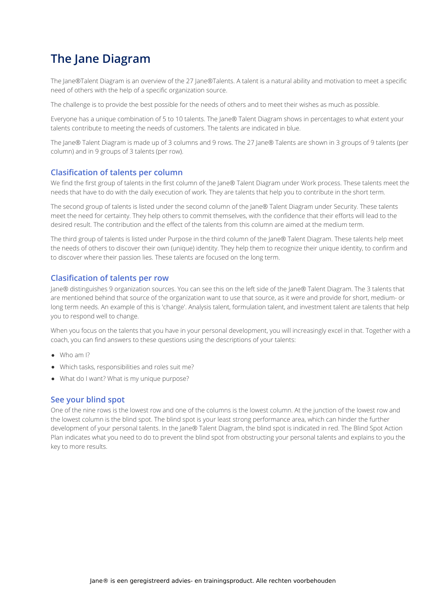# **The Jane Diagram**

The Jane®Talent Diagram is an overview of the 27 Jane®Talents. A talent is a natural ability and motivation to meet a specific need of others with the help of a specific organization source.

The challenge is to provide the best possible for the needs of others and to meet their wishes as much as possible.

Everyone has a unique combination of 5 to 10 talents. The Jane® Talent Diagram shows in percentages to what extent your talents contribute to meeting the needs of customers. The talents are indicated in blue.

The Jane® Talent Diagram is made up of 3 columns and 9 rows. The 27 Jane® Talents are shown in 3 groups of 9 talents (per column) and in 9 groups of 3 talents (per row).

#### **Clasification of talents per column**

We find the first group of talents in the first column of the Jane® Talent Diagram under Work process. These talents meet the needs that have to do with the daily execution of work. They are talents that help you to contribute in the short term.

The second group of talents is listed under the second column of the Jane® Talent Diagram under Security. These talents meet the need for certainty. They help others to commit themselves, with the confidence that their efforts will lead to the desired result. The contribution and the effect of the talents from this column are aimed at the medium term.

The third group of talents is listed under Purpose in the third column of the Jane® Talent Diagram. These talents help meet the needs of others to discover their own (unique) identity. They help them to recognize their unique identity, to confirm and to discover where their passion lies. These talents are focused on the long term.

#### **Clasification of talents per row**

Jane® distinguishes 9 organization sources. You can see this on the left side of the Jane® Talent Diagram. The 3 talents that are mentioned behind that source of the organization want to use that source, as it were and provide for short, medium- or long term needs. An example of this is 'change'. Analysis talent, formulation talent, and investment talent are talents that help you to respond well to change.

When you focus on the talents that you have in your personal development, you will increasingly excel in that. Together with a coach, you can find answers to these questions using the descriptions of your talents:

- Who am I?
- Which tasks, responsibilities and roles suit me?
- What do I want? What is my unique purpose?

#### **See your blind spot**

One of the nine rows is the lowest row and one of the columns is the lowest column. At the junction of the lowest row and the lowest column is the blind spot. The blind spot is your least strong performance area, which can hinder the further development of your personal talents. In the Jane® Talent Diagram, the blind spot is indicated in red. The Blind Spot Action Plan indicates what you need to do to prevent the blind spot from obstructing your personal talents and explains to you the key to more results.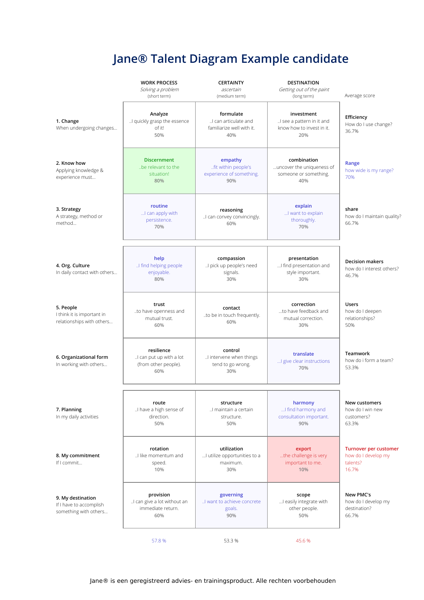# **Jane® Talent Diagram Example candidate**

|                                                                       | <b>WORK PROCESS</b><br>Solving a problem<br>(short term)             | <b>CERTAINTY</b><br>ascertain<br>(medium term)                        | <b>DESTINATION</b><br>Getting out of the paint<br>(long term)               | Average score                                                     |
|-----------------------------------------------------------------------|----------------------------------------------------------------------|-----------------------------------------------------------------------|-----------------------------------------------------------------------------|-------------------------------------------------------------------|
| 1. Change<br>When undergoing changes                                  | Analyze<br>I quickly grasp the essence<br>of it!<br>50%              | formulate<br>I can articulate and<br>familiarize well with it.<br>40% | investment<br>I see a pattern in it and<br>know how to invest in it.<br>20% | Efficiency<br>How do I use change?<br>36.7%                       |
| 2. Know how<br>Applying knowledge &<br>experience must                | <b>Discernment</b><br>be relevant to the<br>situation!<br>80%        | empathy<br>fit within people's<br>experience of something.<br>90%     | combination<br>uncover the uniqueness of<br>someone or something.<br>40%    | Range<br>how wide is my range?<br>70%                             |
| 3. Strategy<br>A strategy, method or<br>method                        | routine<br>I can apply with<br>persistence.<br>70%                   | reasoning<br>I can convey convincingly.<br>60%                        | explain<br>I want to explain<br>thoroughly.<br>70%                          | share<br>how do I maintain quality?<br>66.7%                      |
| 4. Org. Culture<br>In daily contact with others                       | help<br>I find helping people<br>enjoyable.<br>80%                   | compassion<br>! pick up people's need<br>signals.<br>30%              | presentation<br>I find presentation and<br>style important.<br>30%          | <b>Decision makers</b><br>how do Linterest others?<br>46.7%       |
| 5. People<br>I think it is important in<br>relationships with others  | trust<br>to have openness and<br>mutual trust.<br>60%                | contact<br>to be in touch frequently.<br>60%                          | correction<br>to have feedback and<br>mutual correction.<br>30%             | <b>Users</b><br>how do I deepen<br>relationships?<br>50%          |
| 6. Organizational form<br>In working with others                      | resilience<br>! can put up with a lot<br>(from other people).<br>60% | control<br>I intervene when things<br>tend to go wrong.<br>30%        | translate<br>I give clear instructions<br>70%                               | <b>Teamwork</b><br>how do i form a team?<br>53.3%                 |
| 7. Planning<br>In my daily activities                                 | route<br>I have a high sense of<br>direction.<br>50%                 | structure<br>I maintain a certain<br>structure.<br>50%                | harmony<br>I find harmony and<br>consultation important.<br>90%             | New customers<br>how do I win new<br>customers?<br>63.3%          |
| 8. My commitment<br>If I commit                                       | rotation<br>I like momentum and<br>speed.<br>10%                     | utilization<br>I utilize opportunities to a<br>maximum.<br>30%        | export<br>the challenge is very<br>important to me.<br>10%                  | Turnover per customer<br>how do I develop my<br>talents?<br>16.7% |
| 9. My destination<br>If I have to accomplish<br>something with others | provision<br>I can give a lot without an<br>immediate return.<br>60% | governing<br>I want to achieve concrete<br>goals.<br>90%              | scope<br>I easily integrate with<br>other people.<br>50%                    | New PMC's<br>how do I develop my<br>destination?<br>66.7%         |
|                                                                       | 57.8%                                                                | 53.3 %                                                                | 45.6%                                                                       |                                                                   |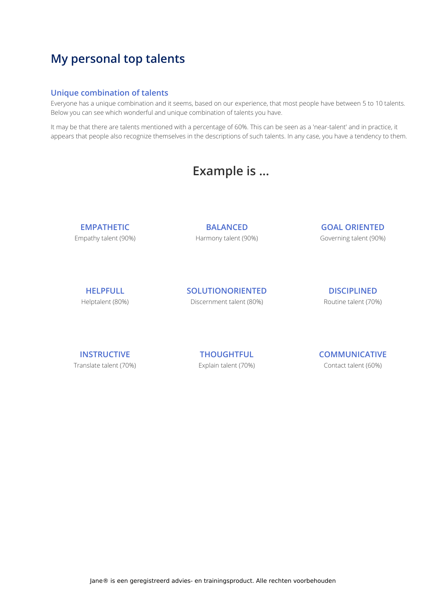### **My personal top talents**

#### **Unique combination of talents**

Everyone has a unique combination and it seems, based on our experience, that most people have between 5 to 10 talents. Below you can see which wonderful and unique combination of talents you have.

It may be that there are talents mentioned with a percentage of 60%. This can be seen as a 'near-talent' and in practice, it appears that people also recognize themselves in the descriptions of such talents. In any case, you have a tendency to them.

## **Example is ...**

**EMPATHETIC** Empathy talent (90%)

**BALANCED** Harmony talent (90%) **GOAL ORIENTED** Governing talent (90%)

**HELPFULL** Helptalent (80%) **SOLUTIONORIENTED** Discernment talent (80%)

**DISCIPLINED** Routine talent (70%)

**INSTRUCTIVE** Translate talent (70%)

**THOUGHTFUL** Explain talent (70%) **COMMUNICATIVE** Contact talent (60%)

Jane® is een geregistreerd advies- en trainingsproduct. Alle rechten voorbehouden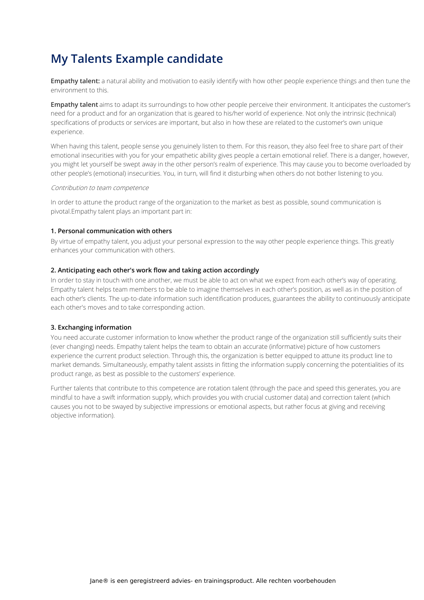**Empathy talent:** a natural ability and motivation to easily identify with how other people experience things and then tune the environment to this.

**Empathy talent** aims to adapt its surroundings to how other people perceive their environment. It anticipates the customer's need for a product and for an organization that is geared to his/her world of experience. Not only the intrinsic (technical) specifications of products or services are important, but also in how these are related to the customer's own unique experience.

When having this talent, people sense you genuinely listen to them. For this reason, they also feel free to share part of their emotional insecurities with you for your empathetic ability gives people a certain emotional relief. There is a danger, however, you might let yourself be swept away in the other person's realm of experience. This may cause you to become overloaded by other people's (emotional) insecurities. You, in turn, will find it disturbing when others do not bother listening to you.

#### Contribution to team competence

In order to attune the product range of the organization to the market as best as possible, sound communication is pivotal.Empathy talent plays an important part in:

#### **1. Personal communication with others**

By virtue of empathy talent, you adjust your personal expression to the way other people experience things. This greatly enhances your communication with others.

#### **2. Anticipating each other's work flow and taking action accordingly**

In order to stay in touch with one another, we must be able to act on what we expect from each other's way of operating. Empathy talent helps team members to be able to imagine themselves in each other's position, as well as in the position of each other's clients. The up-to-date information such identification produces, guarantees the ability to continuously anticipate each other's moves and to take corresponding action.

#### **3. Exchanging information**

You need accurate customer information to know whether the product range of the organization still sufficiently suits their (ever changing) needs. Empathy talent helps the team to obtain an accurate (informative) picture of how customers experience the current product selection. Through this, the organization is better equipped to attune its product line to market demands. Simultaneously, empathy talent assists in fitting the information supply concerning the potentialities of its product range, as best as possible to the customers' experience.

Further talents that contribute to this competence are rotation talent (through the pace and speed this generates, you are mindful to have a swift information supply, which provides you with crucial customer data) and correction talent (which causes you not to be swayed by subjective impressions or emotional aspects, but rather focus at giving and receiving objective information).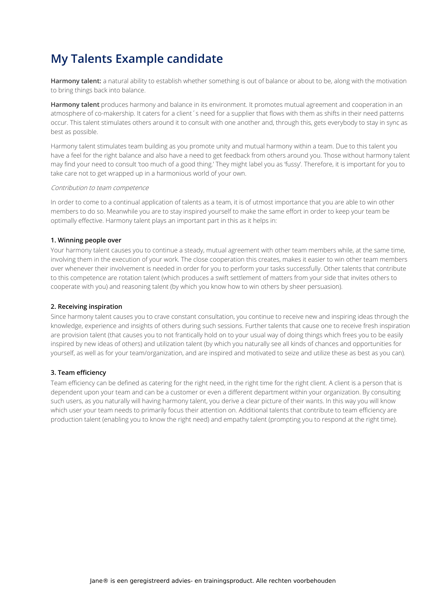**Harmony talent:** a natural ability to establish whether something is out of balance or about to be, along with the motivation to bring things back into balance.

**Harmony talent** produces harmony and balance in its environment. It promotes mutual agreement and cooperation in an atmosphere of co-makership. It caters for a client's need for a supplier that flows with them as shifts in their need patterns occur. This talent stimulates others around it to consult with one another and, through this, gets everybody to stay in sync as best as possible.

Harmony talent stimulates team building as you promote unity and mutual harmony within a team. Due to this talent you have a feel for the right balance and also have a need to get feedback from others around you. Those without harmony talent may find your need to consult 'too much of a good thing.' They might label you as 'fussy'. Therefore, it is important for you to take care not to get wrapped up in a harmonious world of your own.

#### Contribution to team competence

In order to come to a continual application of talents as a team, it is of utmost importance that you are able to win other members to do so. Meanwhile you are to stay inspired yourself to make the same effort in order to keep your team be optimally effective. Harmony talent plays an important part in this as it helps in:

#### **1. Winning people over**

Your harmony talent causes you to continue a steady, mutual agreement with other team members while, at the same time, involving them in the execution of your work. The close cooperation this creates, makes it easier to win other team members over whenever their involvement is needed in order for you to perform your tasks successfully. Other talents that contribute to this competence are rotation talent (which produces a swift settlement of matters from your side that invites others to cooperate with you) and reasoning talent (by which you know how to win others by sheer persuasion).

#### **2. Receiving inspiration**

Since harmony talent causes you to crave constant consultation, you continue to receive new and inspiring ideas through the knowledge, experience and insights of others during such sessions. Further talents that cause one to receive fresh inspiration are provision talent (that causes you to not frantically hold on to your usual way of doing things which frees you to be easily inspired by new ideas of others) and utilization talent (by which you naturally see all kinds of chances and opportunities for yourself, as well as for your team/organization, and are inspired and motivated to seize and utilize these as best as you can).

#### **3. Team efficiency**

Team efficiency can be defined as catering for the right need, in the right time for the right client. A client is a person that is dependent upon your team and can be a customer or even a different department within your organization. By consulting such users, as you naturally will having harmony talent, you derive a clear picture of their wants. In this way you will know which user your team needs to primarily focus their attention on. Additional talents that contribute to team efficiency are production talent (enabling you to know the right need) and empathy talent (prompting you to respond at the right time).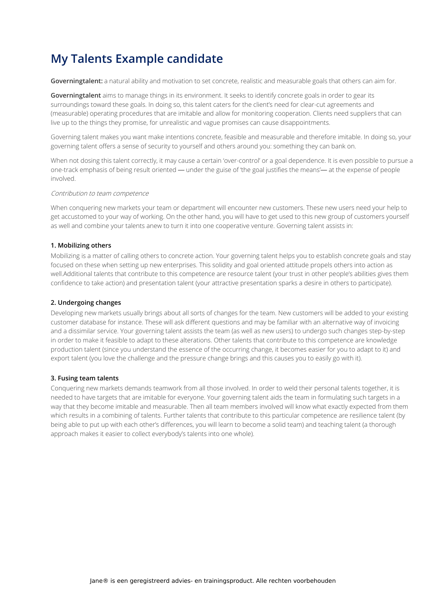**Governingtalent:** a natural ability and motivation to set concrete, realistic and measurable goals that others can aim for.

**Governingtalent** aims to manage things in its environment. It seeks to identify concrete goals in order to gear its surroundings toward these goals. In doing so, this talent caters for the client's need for clear-cut agreements and (measurable) operating procedures that are imitable and allow for monitoring cooperation. Clients need suppliers that can live up to the things they promise, for unrealistic and vague promises can cause disappointments.

Governing talent makes you want make intentions concrete, feasible and measurable and therefore imitable. In doing so, your governing talent offers a sense of security to yourself and others around you: something they can bank on.

When not dosing this talent correctly, it may cause a certain 'over-control' or a goal dependence. It is even possible to pursue a one-track emphasis of being result oriented ― under the guise of 'the goal justifies the means'― at the expense of people involved.

#### Contribution to team competence

When conquering new markets your team or department will encounter new customers. These new users need your help to get accustomed to your way of working. On the other hand, you will have to get used to this new group of customers yourself as well and combine your talents anew to turn it into one cooperative venture. Governing talent assists in:

#### **1. Mobilizing others**

Mobilizing is a matter of calling others to concrete action. Your governing talent helps you to establish concrete goals and stay focused on these when setting up new enterprises. This solidity and goal oriented attitude propels others into action as well.Additional talents that contribute to this competence are resource talent (your trust in other people's abilities gives them confidence to take action) and presentation talent (your attractive presentation sparks a desire in others to participate).

#### **2. Undergoing changes**

Developing new markets usually brings about all sorts of changes for the team. New customers will be added to your existing customer database for instance. These will ask different questions and may be familiar with an alternative way of invoicing and a dissimilar service. Your governing talent assists the team (as well as new users) to undergo such changes step-by-step in order to make it feasible to adapt to these alterations. Other talents that contribute to this competence are knowledge production talent (since you understand the essence of the occurring change, it becomes easier for you to adapt to it) and export talent (you love the challenge and the pressure change brings and this causes you to easily go with it).

#### **3. Fusing team talents**

Conquering new markets demands teamwork from all those involved. In order to weld their personal talents together, it is needed to have targets that are imitable for everyone. Your governing talent aids the team in formulating such targets in a way that they become imitable and measurable. Then all team members involved will know what exactly expected from them which results in a combining of talents. Further talents that contribute to this particular competence are resilience talent (by being able to put up with each other's differences, you will learn to become a solid team) and teaching talent (a thorough approach makes it easier to collect everybody's talents into one whole).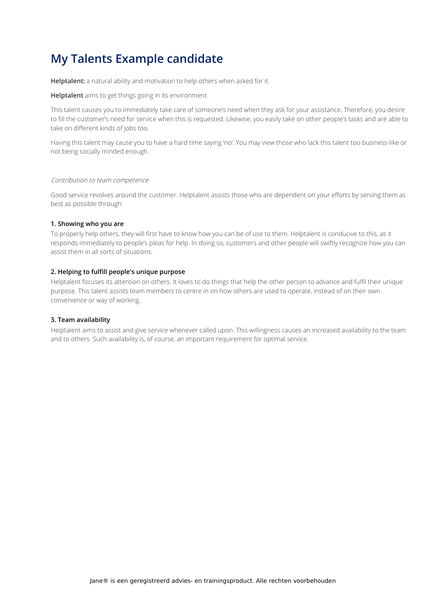**Helptalent:** a natural ability and motivation to help others when asked for it.

**Helptalent** aims to get things going in its environment.

This talent causes you to immediately take care of someone's need when they ask for your assistance. Therefore, you desire to fill the customer's need for service when this is requested. Likewise, you easily take on other people's tasks and are able to take on different kinds of jobs too.

Having this talent may cause you to have a hard time saying 'no'. You may view those who lack this talent too business-like or not being socially minded enough.

#### Contribution to team competence

Good service revolves around the customer. Helptalent assists those who are dependent on your efforts by serving them as best as possible through:

#### **1. Showing who you are**

To properly help others, they will first have to know how you can be of use to them. Helptalent is conducive to this, as it responds immediately to people's pleas for help. In doing so, customers and other people will swiftly recognize how you can assist them in all sorts of situations.

#### **2. Helping to fulfill people's unique purpose**

Helptalent focuses its attention on others. It loves to do things that help the other person to advance and fulfil their unique purpose. This talent assists team members to centre in on how others are used to operate, instead of on their own convenience or way of working.

#### **3. Team availability**

Helptalent aims to assist and give service whenever called upon. This willingness causes an increased availability to the team and to others. Such availability is, of course, an important requirement for optimal service.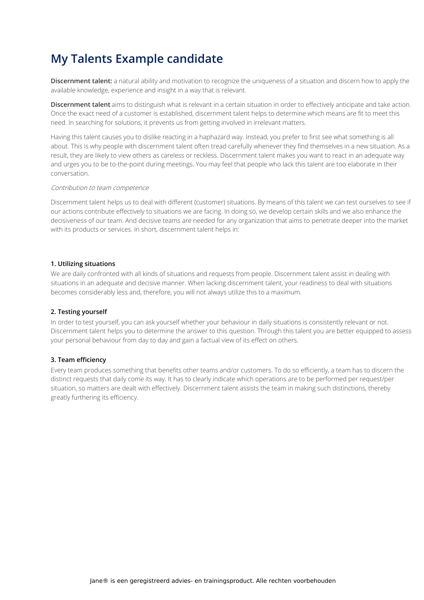**Discernment talent:** a natural ability and motivation to recognize the uniqueness of a situation and discern how to apply the available knowledge, experience and insight in a way that is relevant.

**Discernment talent** aims to distinguish what is relevant in a certain situation in order to effectively anticipate and take action. Once the exact need of a customer is established, discernment talent helps to determine which means are fit to meet this need. In searching for solutions, it prevents us from getting involved in irrelevant matters.

Having this talent causes you to dislike reacting in a haphazard way. Instead, you prefer to first see what something is all about. This is why people with discernment talent often tread carefully whenever they find themselves in a new situation. As a result, they are likely to view others as careless or reckless. Discernment talent makes you want to react in an adequate way and urges you to be to-the-point during meetings. You may feel that people who lack this talent are too elaborate in their conversation.

#### Contribution to team competence

Discernment talent helps us to deal with different (customer) situations. By means of this talent we can test ourselves to see if our actions contribute effectively to situations we are facing. In doing so, we develop certain skills and we also enhance the decisiveness of our team. And decisive teams are needed for any organization that aims to penetrate deeper into the market with its products or services. In short, discernment talent helps in:

#### **1. Utilizing situations**

We are daily confronted with all kinds of situations and requests from people. Discernment talent assist in dealing with situations in an adequate and decisive manner. When lacking discernment talent, your readiness to deal with situations becomes considerably less and, therefore, you will not always utilize this to a maximum.

#### **2. Testing yourself**

In order to test yourself, you can ask yourself whether your behaviour in daily situations is consistently relevant or not. Discernment talent helps you to determine the answer to this question. Through this talent you are better equipped to assess your personal behaviour from day to day and gain a factual view of its effect on others.

#### **3. Team efficiency**

Every team produces something that benefits other teams and/or customers. To do so efficiently, a team has to discern the distinct requests that daily come its way. It has to clearly indicate which operations are to be performed per request/per situation, so matters are dealt with effectively. Discernment talent assists the team in making such distinctions, thereby greatly furthering its efficiency.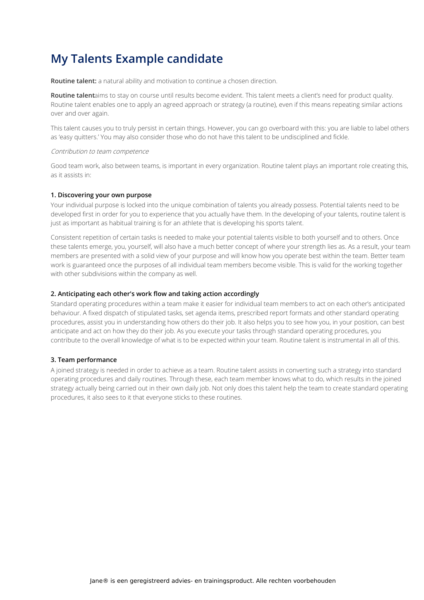**Routine talent:** a natural ability and motivation to continue a chosen direction.

**Routine talent**aims to stay on course until results become evident. This talent meets a client's need for product quality. Routine talent enables one to apply an agreed approach or strategy (a routine), even if this means repeating similar actions over and over again.

This talent causes you to truly persist in certain things. However, you can go overboard with this: you are liable to label others as 'easy quitters.' You may also consider those who do not have this talent to be undisciplined and fickle.

#### Contribution to team competence

Good team work, also between teams, is important in every organization. Routine talent plays an important role creating this, as it assists in:

#### **1. Discovering your own purpose**

Your individual purpose is locked into the unique combination of talents you already possess. Potential talents need to be developed first in order for you to experience that you actually have them. In the developing of your talents, routine talent is just as important as habitual training is for an athlete that is developing his sports talent.

Consistent repetition of certain tasks is needed to make your potential talents visible to both yourself and to others. Once these talents emerge, you, yourself, will also have a much better concept of where your strength lies as. As a result, your team members are presented with a solid view of your purpose and will know how you operate best within the team. Better team work is guaranteed once the purposes of all individual team members become visible. This is valid for the working together with other subdivisions within the company as well.

#### **2. Anticipating each other's work flow and taking action accordingly**

Standard operating procedures within a team make it easier for individual team members to act on each other's anticipated behaviour. A fixed dispatch of stipulated tasks, set agenda items, prescribed report formats and other standard operating procedures, assist you in understanding how others do their job. It also helps you to see how you, in your position, can best anticipate and act on how they do their job. As you execute your tasks through standard operating procedures, you contribute to the overall knowledge of what is to be expected within your team. Routine talent is instrumental in all of this.

#### **3. Team performance**

A joined strategy is needed in order to achieve as a team. Routine talent assists in converting such a strategy into standard operating procedures and daily routines. Through these, each team member knows what to do, which results in the joined strategy actually being carried out in their own daily job. Not only does this talent help the team to create standard operating procedures, it also sees to it that everyone sticks to these routines.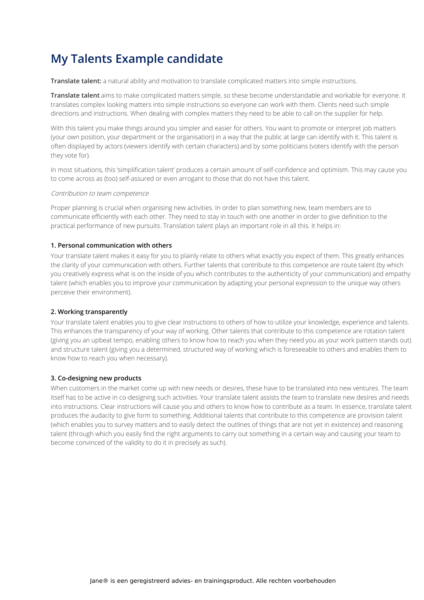**Translate talent:** a natural ability and motivation to translate complicated matters into simple instructions.

**Translate talent** aims to make complicated matters simple, so these become understandable and workable for everyone. It translates complex looking matters into simple instructions so everyone can work with them. Clients need such simple directions and instructions. When dealing with complex matters they need to be able to call on the supplier for help.

With this talent you make things around you simpler and easier for others. You want to promote or interpret job matters (your own position, your department or the organisation) in a way that the public at large can identify with it. This talent is often displayed by actors (viewers identify with certain characters) and by some politicians (voters identify with the person they vote for).

In most situations, this 'simplification talent' produces a certain amount of self-confidence and optimism. This may cause you to come across as (too) self-assured or even arrogant to those that do not have this talent.

#### Contribution to team competence

Proper planning is crucial when organising new activities. In order to plan something new, team members are to communicate efficiently with each other. They need to stay in touch with one another in order to give definition to the practical performance of new pursuits. Translation talent plays an important role in all this. It helps in:

#### **1. Personal communication with others**

Your translate talent makes it easy for you to plainly relate to others what exactly you expect of them. This greatly enhances the clarity of your communication with others. Further talents that contribute to this competence are route talent (by which you creatively express what is on the inside of you which contributes to the authenticity of your communication) and empathy talent (which enables you to improve your communication by adapting your personal expression to the unique way others perceive their environment).

#### **2. Working transparently**

Your translate talent enables you to give clear instructions to others of how to utilize your knowledge, experience and talents. This enhances the transparency of your way of working. Other talents that contribute to this competence are rotation talent (giving you an upbeat tempo, enabling others to know how to reach you when they need you as your work pattern stands out) and structure talent (giving you a determined, structured way of working which is foreseeable to others and enables them to know how to reach you when necessary).

#### **3. Co-designing new products**

When customers in the market come up with new needs or desires, these have to be translated into new ventures. The team itself has to be active in co-designing such activities. Your translate talent assists the team to translate new desires and needs into instructions. Clear instructions will cause you and others to know how to contribute as a team. In essence, translate talent produces the audacity to give form to something. Additional talents that contribute to this competence are provision talent (which enables you to survey matters and to easily detect the outlines of things that are not yet in existence) and reasoning talent (through which you easily find the right arguments to carry out something in a certain way and causing your team to become convinced of the validity to do it in precisely as such).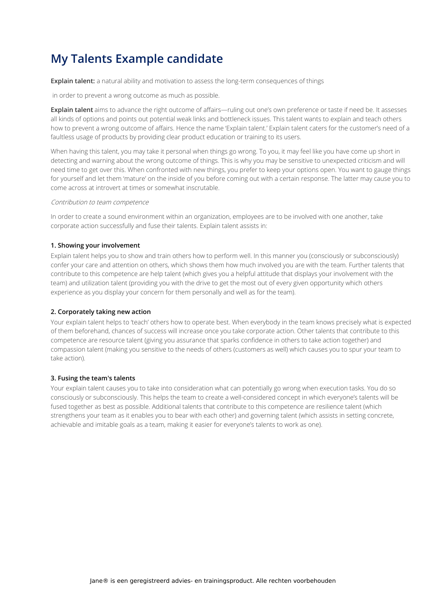**Explain talent:** a natural ability and motivation to assess the long-term consequences of things

in order to prevent a wrong outcome as much as possible.

**Explain talent** aims to advance the right outcome of affairs—ruling out one's own preference or taste if need be. It assesses all kinds of options and points out potential weak links and bottleneck issues. This talent wants to explain and teach others how to prevent a wrong outcome of affairs. Hence the name 'Explain talent.' Explain talent caters for the customer's need of a faultless usage of products by providing clear product education or training to its users.

When having this talent, you may take it personal when things go wrong. To you, it may feel like you have come up short in detecting and warning about the wrong outcome of things. This is why you may be sensitive to unexpected criticism and will need time to get over this. When confronted with new things, you prefer to keep your options open. You want to gauge things for yourself and let them 'mature' on the inside of you before coming out with a certain response. The latter may cause you to come across at introvert at times or somewhat inscrutable.

#### Contribution to team competence

In order to create a sound environment within an organization, employees are to be involved with one another, take corporate action successfully and fuse their talents. Explain talent assists in:

#### **1. Showing your involvement**

Explain talent helps you to show and train others how to perform well. In this manner you (consciously or subconsciously) confer your care and attention on others, which shows them how much involved you are with the team. Further talents that contribute to this competence are help talent (which gives you a helpful attitude that displays your involvement with the team) and utilization talent (providing you with the drive to get the most out of every given opportunity which others experience as you display your concern for them personally and well as for the team).

#### **2. Corporately taking new action**

Your explain talent helps to 'teach' others how to operate best. When everybody in the team knows precisely what is expected of them beforehand, chances of success will increase once you take corporate action. Other talents that contribute to this competence are resource talent (giving you assurance that sparks confidence in others to take action together) and compassion talent (making you sensitive to the needs of others (customers as well) which causes you to spur your team to take action).

#### **3. Fusing the team's talents**

Your explain talent causes you to take into consideration what can potentially go wrong when execution tasks. You do so consciously or subconsciously. This helps the team to create a well-considered concept in which everyone's talents will be fused together as best as possible. Additional talents that contribute to this competence are resilience talent (which strengthens your team as it enables you to bear with each other) and governing talent (which assists in setting concrete, achievable and imitable goals as a team, making it easier for everyone's talents to work as one).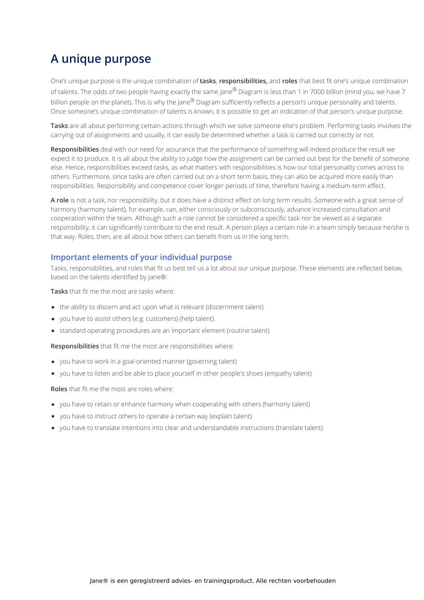# **A unique purpose**

One's unique purpose is the unique combination of **tasks**, **responsibilities,** and **roles** that best fit one's unique combination of talents. The odds of two people having exactly the same Jane® Diagram is less than 1 in 7000 billion (mind you, we have 7 billion people on the planet). This is why the Jane® Diagram sufficiently reflects a person's unique personality and talents. Once someone's unique combination of talents is known, it is possible to get an indication of that person's unique purpose.

**Tasks** are all about performing certain actions through which we solve someone else's problem. Performing tasks involves the carrying out of assignments and usually, it can easily be determined whether a task is carried out correctly or not.

**Responsibilities** deal with our need for assurance that the performance of something will indeed produce the result we expect it to produce. It is all about the ability to judge how the assignment can be carried out best for the benefit of someone else. Hence, responsibilities exceed tasks, as what matters with responsibilities is how our total personality comes across to others. Furthermore, since tasks are often carried out on a short term basis, they can also be acquired more easily than responsibilities. Responsibility and competence cover longer periods of time, therefore having a medium-term effect.

**A role** is not a task, nor responsibility, but it does have a distinct effect on long term results. Someone with a great sense of harmony (harmony talent), for example, can, either consciously or subconsciously, advance increased consultation and cooperation within the team. Although such a role cannot be considered a specific task nor be viewed as a separate responsibility, it can significantly contribute to the end result. A person plays a certain role in a team simply because he/she is that way. Roles, then, are all about how others can benefit from us in the long term.

#### **Important elements of your individual purpose**

Tasks, responsibilities, and roles that fit us best tell us a lot about our unique purpose. These elements are reflected below, based on the talents identified by Jane®:

**Tasks** that fit me the most are tasks where:

- the ability to discern and act upon what is relevant (discernment talent)
- you have to assist others (e.g. customers) (help talent).
- standard operating procedures are an important element (routine talent)

**Responsibilities** that fit me the most are responsibilities where:

- you have to work in a goal-oriented manner (governing talent)
- you have to listen and be able to place yourself in other people's shoes (empathy talent)

**Roles** that fit me the most are roles where:

- you have to retain or enhance harmony when cooperating with others (harmony talent)
- you have to instruct others to operate a certain way (explain talent)
- you have to translate intentions into clear and understandable instructions (translate talent)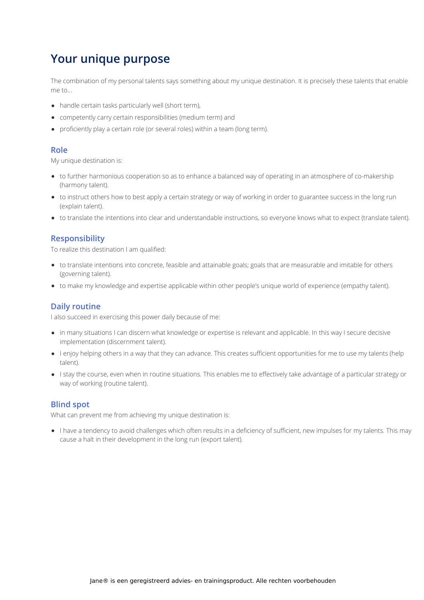# **Your unique purpose**

The combination of my personal talents says something about my unique destination. It is precisely these talents that enable me to…

- handle certain tasks particularly well (short term),
- competently carry certain responsibilities (medium term) and
- proficiently play a certain role (or several roles) within a team (long term).

#### **Role**

My unique destination is:

- to further harmonious cooperation so as to enhance a balanced way of operating in an atmosphere of co-makership (harmony talent).
- to instruct others how to best apply a certain strategy or way of working in order to guarantee success in the long run (explain talent).
- to translate the intentions into clear and understandable instructions, so everyone knows what to expect (translate talent).

#### **Responsibility**

To realize this destination I am qualified:

- to translate intentions into concrete, feasible and attainable goals; goals that are measurable and imitable for others (governing talent).
- to make my knowledge and expertise applicable within other people's unique world of experience (empathy talent).

#### **Daily routine**

I also succeed in exercising this power daily because of me:

- in many situations I can discern what knowledge or expertise is relevant and applicable. In this way I secure decisive implementation (discernment talent).
- I enjoy helping others in a way that they can advance. This creates sufficient opportunities for me to use my talents (help talent).
- I stay the course, even when in routine situations. This enables me to effectively take advantage of a particular strategy or way of working (routine talent).

#### **Blind spot**

What can prevent me from achieving my unique destination is:

I have a tendency to avoid challenges which often results in a deficiency of sufficient, new impulses for my talents. This may cause a halt in their development in the long run (export talent).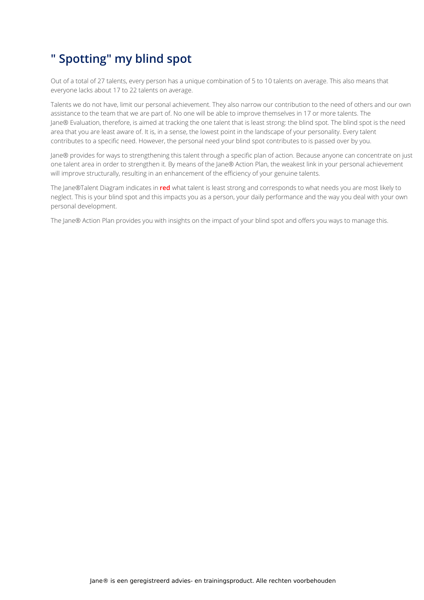# **" Spotting" my blind spot**

Out of a total of 27 talents, every person has a unique combination of 5 to 10 talents on average. This also means that everyone lacks about 17 to 22 talents on average.

Talents we do not have, limit our personal achievement. They also narrow our contribution to the need of others and our own assistance to the team that we are part of. No one will be able to improve themselves in 17 or more talents. The Jane® Evaluation, therefore, is aimed at tracking the one talent that is least strong: the blind spot. The blind spot is the need area that you are least aware of. It is, in a sense, the lowest point in the landscape of your personality. Every talent contributes to a specific need. However, the personal need your blind spot contributes to is passed over by you.

Jane® provides for ways to strengthening this talent through a specific plan of action. Because anyone can concentrate on just one talent area in order to strengthen it. By means of the Jane® Action Plan, the weakest link in your personal achievement will improve structurally, resulting in an enhancement of the efficiency of your genuine talents.

The Jane®Talent Diagram indicates in **red** what talent is least strong and corresponds to what needs you are most likely to neglect. This is your blind spot and this impacts you as a person, your daily performance and the way you deal with your own personal development.

The Jane® Action Plan provides you with insights on the impact of your blind spot and offers you ways to manage this.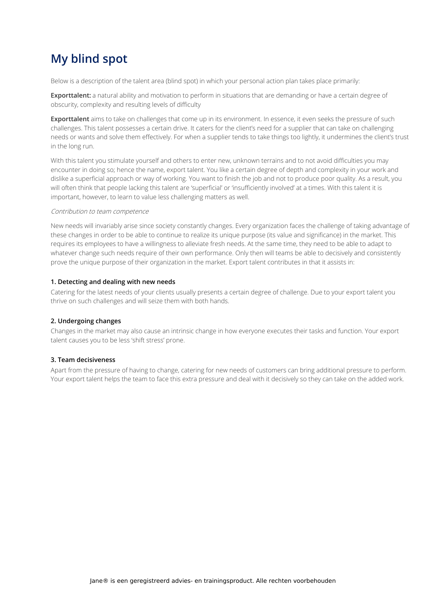# **My blind spot**

Below is a description of the talent area (blind spot) in which your personal action plan takes place primarily:

**Exporttalent:** a natural ability and motivation to perform in situations that are demanding or have a certain degree of obscurity, complexity and resulting levels of difficulty

**Exporttalent** aims to take on challenges that come up in its environment. In essence, it even seeks the pressure of such challenges. This talent possesses a certain drive. It caters for the client's need for a supplier that can take on challenging needs or wants and solve them effectively. For when a supplier tends to take things too lightly, it undermines the client's trust in the long run.

With this talent you stimulate yourself and others to enter new, unknown terrains and to not avoid difficulties you may encounter in doing so; hence the name, export talent. You like a certain degree of depth and complexity in your work and dislike a superficial approach or way of working. You want to finish the job and not to produce poor quality. As a result, you will often think that people lacking this talent are 'superficial' or 'insufficiently involved' at a times. With this talent it is important, however, to learn to value less challenging matters as well.

#### Contribution to team competence

New needs will invariably arise since society constantly changes. Every organization faces the challenge of taking advantage of these changes in order to be able to continue to realize its unique purpose (its value and significance) in the market. This requires its employees to have a willingness to alleviate fresh needs. At the same time, they need to be able to adapt to whatever change such needs require of their own performance. Only then will teams be able to decisively and consistently prove the unique purpose of their organization in the market. Export talent contributes in that it assists in:

#### **1. Detecting and dealing with new needs**

Catering for the latest needs of your clients usually presents a certain degree of challenge. Due to your export talent you thrive on such challenges and will seize them with both hands.

#### **2. Undergoing changes**

Changes in the market may also cause an intrinsic change in how everyone executes their tasks and function. Your export talent causes you to be less 'shift stress' prone.

#### **3. Team decisiveness**

Apart from the pressure of having to change, catering for new needs of customers can bring additional pressure to perform. Your export talent helps the team to face this extra pressure and deal with it decisively so they can take on the added work.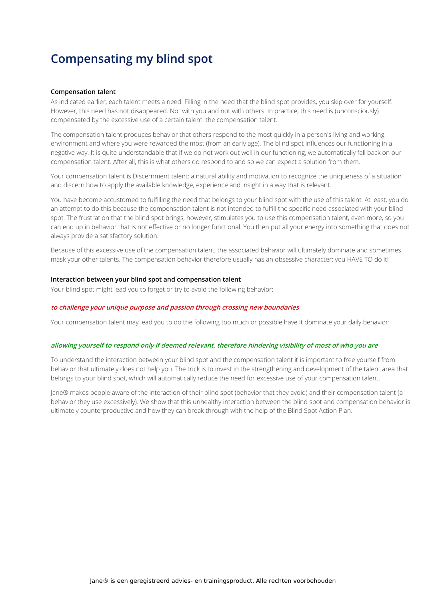# **Compensating my blind spot**

#### **Compensation talent**

As indicated earlier, each talent meets a need. Filling in the need that the blind spot provides, you skip over for yourself. However, this need has not disappeared. Not with you and not with others. In practice, this need is (unconsciously) compensated by the excessive use of a certain talent: the compensation talent.

The compensation talent produces behavior that others respond to the most quickly in a person's living and working environment and where you were rewarded the most (from an early age). The blind spot influences our functioning in a negative way. It is quite understandable that if we do not work out well in our functioning, we automatically fall back on our compensation talent. After all, this is what others do respond to and so we can expect a solution from them.

Your compensation talent is Discernment talent: a natural ability and motivation to recognize the uniqueness of a situation and discern how to apply the available knowledge, experience and insight in a way that is relevant..

You have become accustomed to fulfilling the need that belongs to your blind spot with the use of this talent. At least, you do an attempt to do this because the compensation talent is not intended to fulfill the specific need associated with your blind spot. The frustration that the blind spot brings, however, stimulates you to use this compensation talent, even more, so you can end up in behavior that is not effective or no longer functional. You then put all your energy into something that does not always provide a satisfactory solution.

Because of this excessive use of the compensation talent, the associated behavior will ultimately dominate and sometimes mask your other talents. The compensation behavior therefore usually has an obsessive character: you HAVE TO do it!

#### **Interaction between your blind spot and compensation talent**

Your blind spot might lead you to forget or try to avoid the following behavior:

#### **to challenge your unique purpose and passion through crossing new boundaries**

Your compensation talent may lead you to do the following too much or possible have it dominate your daily behavior:

#### allowing yourself to respond only if deemed relevant, therefore hindering visibility of most of who you are

To understand the interaction between your blind spot and the compensation talent it is important to free yourself from behavior that ultimately does not help you. The trick is to invest in the strengthening and development of the talent area that belongs to your blind spot, which will automatically reduce the need for excessive use of your compensation talent.

Jane® makes people aware of the interaction of their blind spot (behavior that they avoid) and their compensation talent (a behavior they use excessively). We show that this unhealthy interaction between the blind spot and compensation behavior is ultimately counterproductive and how they can break through with the help of the Blind Spot Action Plan.